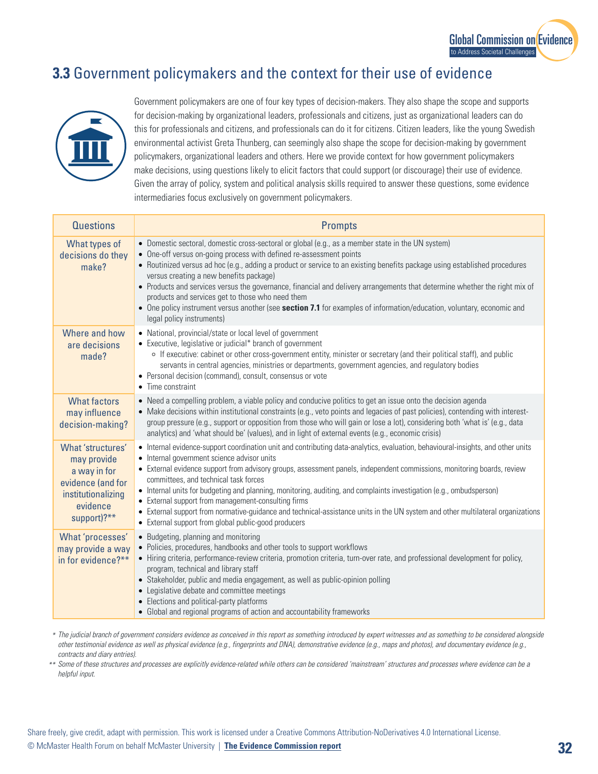## **3.3** Government policymakers and the context for their use of evidence



Government policymakers are one of four key types of decision-makers. They also shape the scope and supports for decision-making by organizational leaders, professionals and citizens, just as organizational leaders can do this for professionals and citizens, and professionals can do it for citizens. Citizen leaders, like the young Swedish environmental activist Greta Thunberg, can seemingly also shape the scope for decision-making by government policymakers, organizational leaders and others. Here we provide context for how government policymakers make decisions, using questions likely to elicit factors that could support (or discourage) their use of evidence. Given the array of policy, system and political analysis skills required to answer these questions, some evidence intermediaries focus exclusively on government policymakers.

| <b>Questions</b>                                                                                                       | <b>Prompts</b>                                                                                                                                                                                                                                                                                                                                                                                                                                                                                                                                                                                                                                                                                                                |
|------------------------------------------------------------------------------------------------------------------------|-------------------------------------------------------------------------------------------------------------------------------------------------------------------------------------------------------------------------------------------------------------------------------------------------------------------------------------------------------------------------------------------------------------------------------------------------------------------------------------------------------------------------------------------------------------------------------------------------------------------------------------------------------------------------------------------------------------------------------|
| What types of<br>decisions do they<br>make?                                                                            | • Domestic sectoral, domestic cross-sectoral or global (e.g., as a member state in the UN system)<br>• One-off versus on-going process with defined re-assessment points<br>• Routinized versus ad hoc (e.g., adding a product or service to an existing benefits package using established procedures<br>versus creating a new benefits package)<br>• Products and services versus the governance, financial and delivery arrangements that determine whether the right mix of<br>products and services get to those who need them<br>• One policy instrument versus another (see section 7.1 for examples of information/education, voluntary, economic and<br>legal policy instruments)                                    |
| Where and how<br>are decisions<br>made?                                                                                | • National, provincial/state or local level of government<br>• Executive, legislative or judicial* branch of government<br>o If executive: cabinet or other cross-government entity, minister or secretary (and their political staff), and public<br>servants in central agencies, ministries or departments, government agencies, and regulatory bodies<br>• Personal decision (command), consult, consensus or vote<br>• Time constraint                                                                                                                                                                                                                                                                                   |
| <b>What factors</b><br>may influence<br>decision-making?                                                               | • Need a compelling problem, a viable policy and conducive politics to get an issue onto the decision agenda<br>• Make decisions within institutional constraints (e.g., veto points and legacies of past policies), contending with interest-<br>group pressure (e.g., support or opposition from those who will gain or lose a lot), considering both 'what is' (e.g., data<br>analytics) and 'what should be' (values), and in light of external events (e.g., economic crisis)                                                                                                                                                                                                                                            |
| What 'structures'<br>may provide<br>a way in for<br>evidence (and for<br>institutionalizing<br>evidence<br>support)?** | • Internal evidence-support coordination unit and contributing data-analytics, evaluation, behavioural-insights, and other units<br>• Internal government science advisor units<br>• External evidence support from advisory groups, assessment panels, independent commissions, monitoring boards, review<br>committees, and technical task forces<br>• Internal units for budgeting and planning, monitoring, auditing, and complaints investigation (e.g., ombudsperson)<br>• External support from management-consulting firms<br>• External support from normative-guidance and technical-assistance units in the UN system and other multilateral organizations<br>• External support from global public-good producers |
| What 'processes'<br>may provide a way<br>in for evidence?**                                                            | • Budgeting, planning and monitoring<br>• Policies, procedures, handbooks and other tools to support workflows<br>• Hiring criteria, performance-review criteria, promotion criteria, turn-over rate, and professional development for policy,<br>program, technical and library staff<br>• Stakeholder, public and media engagement, as well as public-opinion polling<br>• Legislative debate and committee meetings<br>• Elections and political-party platforms<br>• Global and regional programs of action and accountability frameworks                                                                                                                                                                                 |

 *The judicial branch of government considers evidence as conceived in this report as something introduced by expert witnesses and as something to be considered alongside \* other testimonial evidence as well as physical evidence (e.g., fingerprints and DNA), demonstrative evidence (e.g., maps and photos), and documentary evidence (e.g., contracts and diary entries).*

 *Some of these structures and processes are explicitly evidence-related while others can be considered 'mainstream' structures and processes where evidence can be a \*\* helpful input.*